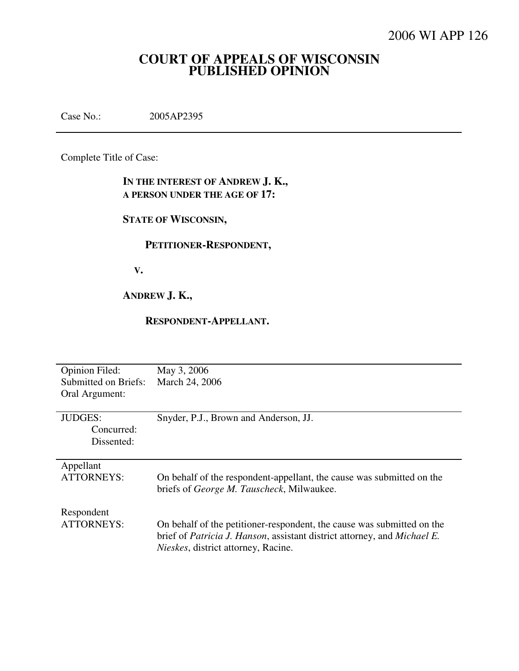# **COURT OF APPEALS OF WISCONSIN PUBLISHED OPINION**

Case No.: 2005AP2395

Complete Title of Case:

IN THE INTEREST OF ANDREW **J. K., A PERSON UNDER THE AGE OF 17:** 

**STATE OF WISCONSIN,** 

 **PETITIONER-RESPONDENT,** 

 **V.** 

**ANDREW J. K.,** 

# **RESPONDENT-APPELLANT.**

| Opinion Filed:       | May 3, 2006                                                              |
|----------------------|--------------------------------------------------------------------------|
| Submitted on Briefs: | March 24, 2006                                                           |
| Oral Argument:       |                                                                          |
|                      |                                                                          |
| <b>JUDGES:</b>       | Snyder, P.J., Brown and Anderson, JJ.                                    |
| Concurred:           |                                                                          |
| Dissented:           |                                                                          |
|                      |                                                                          |
| Appellant            |                                                                          |
| <b>ATTORNEYS:</b>    | On behalf of the respondent-appellant, the cause was submitted on the    |
|                      | briefs of <i>George M. Tauscheck</i> , Milwaukee.                        |
|                      |                                                                          |
| Respondent           |                                                                          |
| <b>ATTORNEYS:</b>    | On behalf of the petitioner-respondent, the cause was submitted on the   |
|                      | brief of Patricia J. Hanson, assistant district attorney, and Michael E. |
|                      | Nieskes, district attorney, Racine.                                      |
|                      |                                                                          |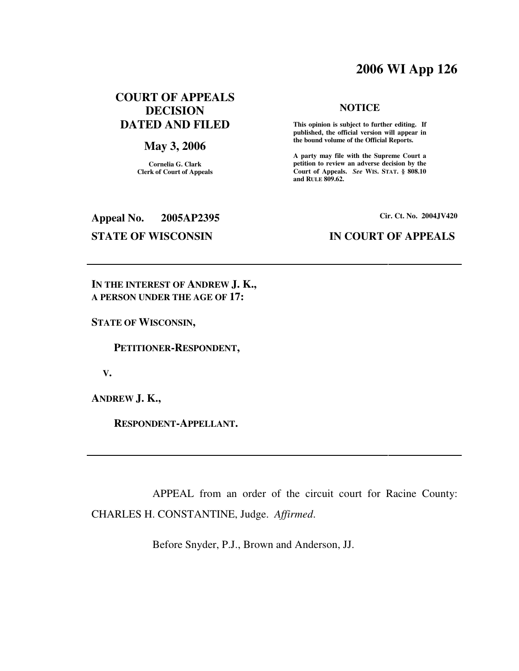# **2006 WI App 126**

# **COURT OF APPEALS DECISION DATED AND FILED**

# **May 3, 2006**

**Cornelia G. Clark Clerk of Court of Appeals**

#### **NOTICE**

 **This opinion is subject to further editing. If published, the official version will appear in the bound volume of the Official Reports.** 

**A party may file with the Supreme Court a petition to review an adverse decision by the Court of Appeals.** *See* **WIS. STAT. § 808.10 and RULE 809.62.** 

**Appeal No. 2005AP2395 Cir. Ct. No. 2004JV420**

## **STATE OF WISCONSIN IN COURT OF APPEALS**

IN THE INTEREST OF ANDREW **J. K., A PERSON UNDER THE AGE OF 17:** 

**STATE OF WISCONSIN,** 

 **PETITIONER-RESPONDENT,** 

 **V.** 

**ANDREW J. K.,** 

 **RESPONDENT-APPELLANT.** 

 APPEAL from an order of the circuit court for Racine County: CHARLES H. CONSTANTINE, Judge. *Affirmed*.

Before Snyder, P.J., Brown and Anderson, JJ.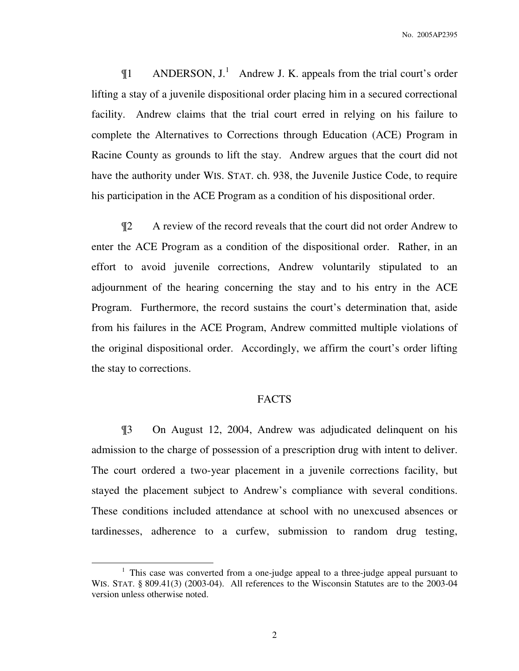$\P1$  ANDERSON, J.<sup>1</sup> Andrew J. K. appeals from the trial court's order lifting a stay of a juvenile dispositional order placing him in a secured correctional facility. Andrew claims that the trial court erred in relying on his failure to complete the Alternatives to Corrections through Education (ACE) Program in Racine County as grounds to lift the stay. Andrew argues that the court did not have the authority under WIS. STAT. ch. 938, the Juvenile Justice Code, to require his participation in the ACE Program as a condition of his dispositional order.

¶2 A review of the record reveals that the court did not order Andrew to enter the ACE Program as a condition of the dispositional order. Rather, in an effort to avoid juvenile corrections, Andrew voluntarily stipulated to an adjournment of the hearing concerning the stay and to his entry in the ACE Program. Furthermore, the record sustains the court's determination that, aside from his failures in the ACE Program, Andrew committed multiple violations of the original dispositional order. Accordingly, we affirm the court's order lifting the stay to corrections.

#### FACTS

¶3 On August 12, 2004, Andrew was adjudicated delinquent on his admission to the charge of possession of a prescription drug with intent to deliver. The court ordered a two-year placement in a juvenile corrections facility, but stayed the placement subject to Andrew's compliance with several conditions. These conditions included attendance at school with no unexcused absences or tardinesses, adherence to a curfew, submission to random drug testing,

 $\overline{a}$ 

<sup>&</sup>lt;sup>1</sup> This case was converted from a one-judge appeal to a three-judge appeal pursuant to WIS. STAT. § 809.41(3) (2003-04). All references to the Wisconsin Statutes are to the 2003-04 version unless otherwise noted.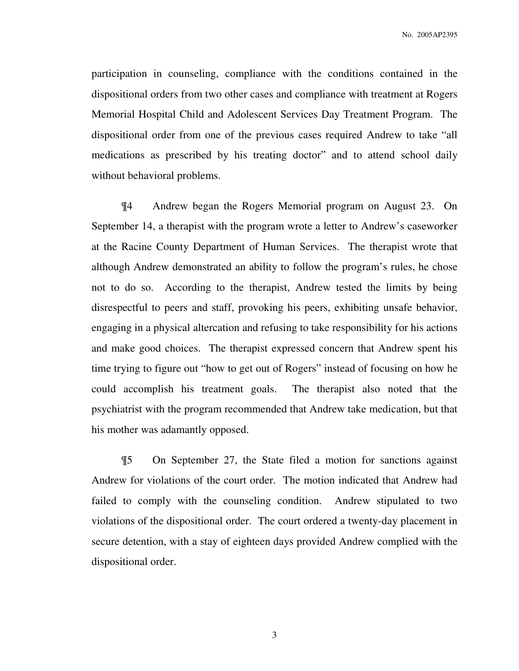No. 2005AP2395

participation in counseling, compliance with the conditions contained in the dispositional orders from two other cases and compliance with treatment at Rogers Memorial Hospital Child and Adolescent Services Day Treatment Program. The dispositional order from one of the previous cases required Andrew to take "all medications as prescribed by his treating doctor" and to attend school daily without behavioral problems.

¶4 Andrew began the Rogers Memorial program on August 23. On September 14, a therapist with the program wrote a letter to Andrew's caseworker at the Racine County Department of Human Services. The therapist wrote that although Andrew demonstrated an ability to follow the program's rules, he chose not to do so. According to the therapist, Andrew tested the limits by being disrespectful to peers and staff, provoking his peers, exhibiting unsafe behavior, engaging in a physical altercation and refusing to take responsibility for his actions and make good choices. The therapist expressed concern that Andrew spent his time trying to figure out "how to get out of Rogers" instead of focusing on how he could accomplish his treatment goals. The therapist also noted that the psychiatrist with the program recommended that Andrew take medication, but that his mother was adamantly opposed.

¶5 On September 27, the State filed a motion for sanctions against Andrew for violations of the court order. The motion indicated that Andrew had failed to comply with the counseling condition. Andrew stipulated to two violations of the dispositional order. The court ordered a twenty-day placement in secure detention, with a stay of eighteen days provided Andrew complied with the dispositional order.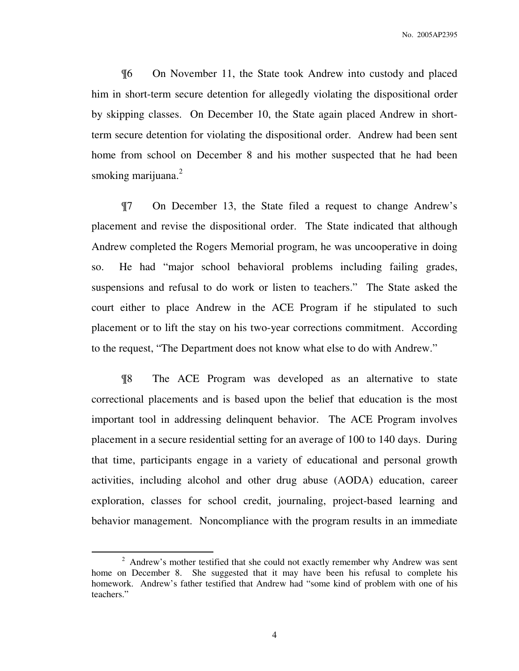¶6 On November 11, the State took Andrew into custody and placed him in short-term secure detention for allegedly violating the dispositional order by skipping classes. On December 10, the State again placed Andrew in shortterm secure detention for violating the dispositional order. Andrew had been sent home from school on December 8 and his mother suspected that he had been smoking marijuana.<sup>2</sup>

¶7 On December 13, the State filed a request to change Andrew's placement and revise the dispositional order. The State indicated that although Andrew completed the Rogers Memorial program, he was uncooperative in doing so. He had "major school behavioral problems including failing grades, suspensions and refusal to do work or listen to teachers." The State asked the court either to place Andrew in the ACE Program if he stipulated to such placement or to lift the stay on his two-year corrections commitment. According to the request, "The Department does not know what else to do with Andrew."

¶8 The ACE Program was developed as an alternative to state correctional placements and is based upon the belief that education is the most important tool in addressing delinquent behavior. The ACE Program involves placement in a secure residential setting for an average of 100 to 140 days. During that time, participants engage in a variety of educational and personal growth activities, including alcohol and other drug abuse (AODA) education, career exploration, classes for school credit, journaling, project-based learning and behavior management. Noncompliance with the program results in an immediate

 $\overline{a}$ 

 $2$  Andrew's mother testified that she could not exactly remember why Andrew was sent home on December 8. She suggested that it may have been his refusal to complete his homework. Andrew's father testified that Andrew had "some kind of problem with one of his teachers."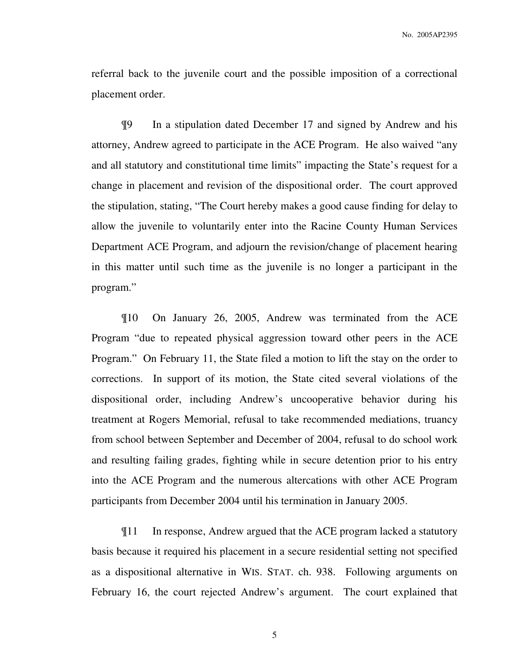referral back to the juvenile court and the possible imposition of a correctional placement order.

¶9 In a stipulation dated December 17 and signed by Andrew and his attorney, Andrew agreed to participate in the ACE Program. He also waived "any and all statutory and constitutional time limits" impacting the State's request for a change in placement and revision of the dispositional order. The court approved the stipulation, stating, "The Court hereby makes a good cause finding for delay to allow the juvenile to voluntarily enter into the Racine County Human Services Department ACE Program, and adjourn the revision/change of placement hearing in this matter until such time as the juvenile is no longer a participant in the program."

¶10 On January 26, 2005, Andrew was terminated from the ACE Program "due to repeated physical aggression toward other peers in the ACE Program." On February 11, the State filed a motion to lift the stay on the order to corrections. In support of its motion, the State cited several violations of the dispositional order, including Andrew's uncooperative behavior during his treatment at Rogers Memorial, refusal to take recommended mediations, truancy from school between September and December of 2004, refusal to do school work and resulting failing grades, fighting while in secure detention prior to his entry into the ACE Program and the numerous altercations with other ACE Program participants from December 2004 until his termination in January 2005.

¶11 In response, Andrew argued that the ACE program lacked a statutory basis because it required his placement in a secure residential setting not specified as a dispositional alternative in WIS. STAT. ch. 938. Following arguments on February 16, the court rejected Andrew's argument. The court explained that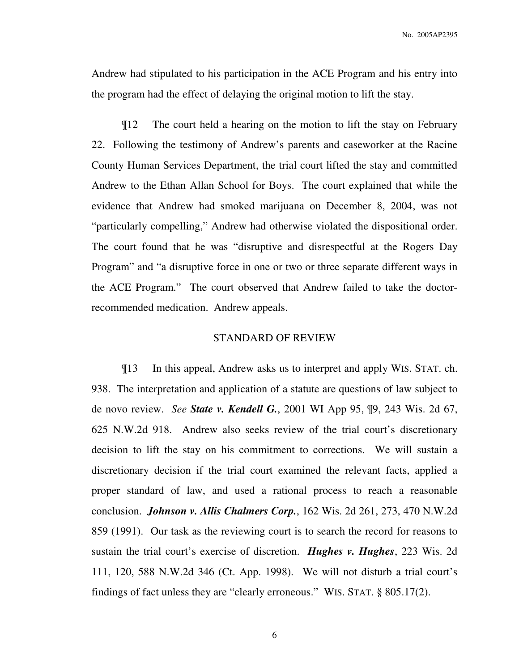Andrew had stipulated to his participation in the ACE Program and his entry into the program had the effect of delaying the original motion to lift the stay.

¶12 The court held a hearing on the motion to lift the stay on February 22. Following the testimony of Andrew's parents and caseworker at the Racine County Human Services Department, the trial court lifted the stay and committed Andrew to the Ethan Allan School for Boys. The court explained that while the evidence that Andrew had smoked marijuana on December 8, 2004, was not "particularly compelling," Andrew had otherwise violated the dispositional order. The court found that he was "disruptive and disrespectful at the Rogers Day Program" and "a disruptive force in one or two or three separate different ways in the ACE Program." The court observed that Andrew failed to take the doctorrecommended medication. Andrew appeals.

#### STANDARD OF REVIEW

¶13 In this appeal, Andrew asks us to interpret and apply WIS. STAT. ch. 938. The interpretation and application of a statute are questions of law subject to de novo review. *See State v. Kendell G.*, 2001 WI App 95, ¶9, 243 Wis. 2d 67, 625 N.W.2d 918. Andrew also seeks review of the trial court's discretionary decision to lift the stay on his commitment to corrections. We will sustain a discretionary decision if the trial court examined the relevant facts, applied a proper standard of law, and used a rational process to reach a reasonable conclusion. *Johnson v. Allis Chalmers Corp.*, 162 Wis. 2d 261, 273, 470 N.W.2d 859 (1991). Our task as the reviewing court is to search the record for reasons to sustain the trial court's exercise of discretion. *Hughes v. Hughes*, 223 Wis. 2d 111, 120, 588 N.W.2d 346 (Ct. App. 1998). We will not disturb a trial court's findings of fact unless they are "clearly erroneous." WIS. STAT. § 805.17(2).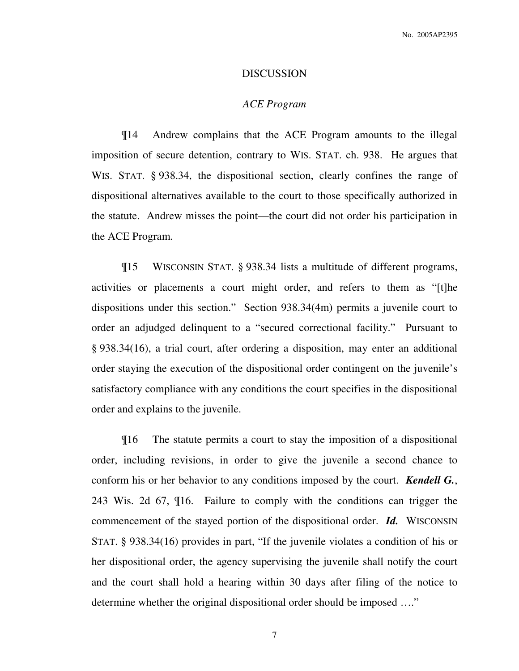#### DISCUSSION

### *ACE Program*

¶14 Andrew complains that the ACE Program amounts to the illegal imposition of secure detention, contrary to WIS. STAT. ch. 938. He argues that WIS. STAT. § 938.34, the dispositional section, clearly confines the range of dispositional alternatives available to the court to those specifically authorized in the statute. Andrew misses the point—the court did not order his participation in the ACE Program.

¶15 WISCONSIN STAT. § 938.34 lists a multitude of different programs, activities or placements a court might order, and refers to them as "[t]he dispositions under this section." Section 938.34(4m) permits a juvenile court to order an adjudged delinquent to a "secured correctional facility." Pursuant to § 938.34(16), a trial court, after ordering a disposition, may enter an additional order staying the execution of the dispositional order contingent on the juvenile's satisfactory compliance with any conditions the court specifies in the dispositional order and explains to the juvenile.

¶16 The statute permits a court to stay the imposition of a dispositional order, including revisions, in order to give the juvenile a second chance to conform his or her behavior to any conditions imposed by the court. *Kendell G.*, 243 Wis. 2d 67, ¶16. Failure to comply with the conditions can trigger the commencement of the stayed portion of the dispositional order. *Id.* WISCONSIN STAT. § 938.34(16) provides in part, "If the juvenile violates a condition of his or her dispositional order, the agency supervising the juvenile shall notify the court and the court shall hold a hearing within 30 days after filing of the notice to determine whether the original dispositional order should be imposed ...."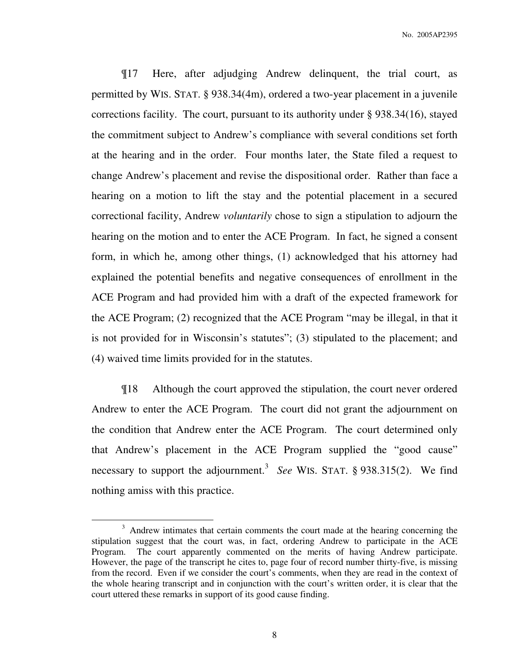¶17 Here, after adjudging Andrew delinquent, the trial court, as permitted by WIS. STAT. § 938.34(4m), ordered a two-year placement in a juvenile corrections facility. The court, pursuant to its authority under § 938.34(16), stayed the commitment subject to Andrew's compliance with several conditions set forth at the hearing and in the order. Four months later, the State filed a request to change Andrew's placement and revise the dispositional order. Rather than face a hearing on a motion to lift the stay and the potential placement in a secured correctional facility, Andrew *voluntarily* chose to sign a stipulation to adjourn the hearing on the motion and to enter the ACE Program. In fact, he signed a consent form, in which he, among other things, (1) acknowledged that his attorney had explained the potential benefits and negative consequences of enrollment in the ACE Program and had provided him with a draft of the expected framework for the ACE Program; (2) recognized that the ACE Program "may be illegal, in that it is not provided for in Wisconsin's statutes"; (3) stipulated to the placement; and (4) waived time limits provided for in the statutes.

¶18 Although the court approved the stipulation, the court never ordered Andrew to enter the ACE Program. The court did not grant the adjournment on the condition that Andrew enter the ACE Program. The court determined only that Andrew's placement in the ACE Program supplied the "good cause" necessary to support the adjournment.<sup>3</sup> See WIS. STAT. § 938.315(2). We find nothing amiss with this practice.

 $\overline{a}$ 

<sup>&</sup>lt;sup>3</sup> Andrew intimates that certain comments the court made at the hearing concerning the stipulation suggest that the court was, in fact, ordering Andrew to participate in the ACE Program. The court apparently commented on the merits of having Andrew participate. However, the page of the transcript he cites to, page four of record number thirty-five, is missing from the record. Even if we consider the court's comments, when they are read in the context of the whole hearing transcript and in conjunction with the court's written order, it is clear that the court uttered these remarks in support of its good cause finding.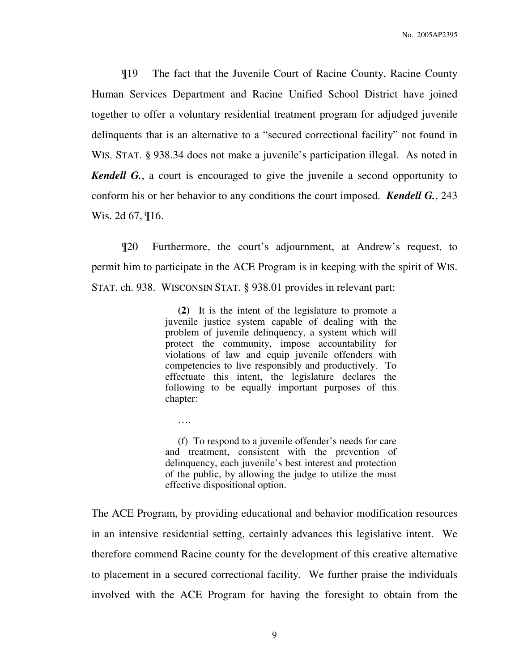¶19 The fact that the Juvenile Court of Racine County, Racine County Human Services Department and Racine Unified School District have joined together to offer a voluntary residential treatment program for adjudged juvenile delinquents that is an alternative to a "secured correctional facility" not found in WIS. STAT. § 938.34 does not make a juvenile's participation illegal. As noted in *Kendell G.*, a court is encouraged to give the juvenile a second opportunity to conform his or her behavior to any conditions the court imposed. *Kendell G.*, 243 Wis. 2d 67, ¶16.

¶20 Furthermore, the court's adjournment, at Andrew's request, to permit him to participate in the ACE Program is in keeping with the spirit of WIS. STAT. ch. 938. WISCONSIN STAT. § 938.01 provides in relevant part:

> **(2)** It is the intent of the legislature to promote a juvenile justice system capable of dealing with the problem of juvenile delinquency, a system which will protect the community, impose accountability for violations of law and equip juvenile offenders with competencies to live responsibly and productively. To effectuate this intent, the legislature declares the following to be equally important purposes of this chapter:

….

 (f) To respond to a juvenile offender's needs for care and treatment, consistent with the prevention of delinquency, each juvenile's best interest and protection of the public, by allowing the judge to utilize the most effective dispositional option.

The ACE Program, by providing educational and behavior modification resources in an intensive residential setting, certainly advances this legislative intent. We therefore commend Racine county for the development of this creative alternative to placement in a secured correctional facility. We further praise the individuals involved with the ACE Program for having the foresight to obtain from the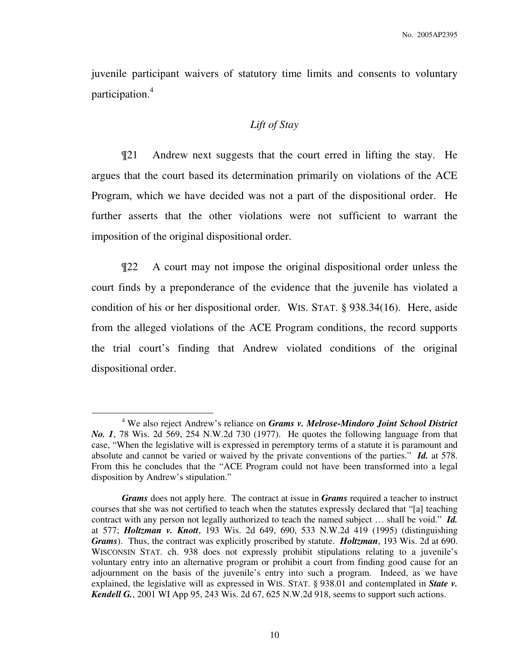juvenile participant waivers of statutory time limits and consents to voluntary participation.<sup>4</sup>

# *Lift of Stay*

¶21 Andrew next suggests that the court erred in lifting the stay. He argues that the court based its determination primarily on violations of the ACE Program, which we have decided was not a part of the dispositional order. He further asserts that the other violations were not sufficient to warrant the imposition of the original dispositional order.

¶22 A court may not impose the original dispositional order unless the court finds by a preponderance of the evidence that the juvenile has violated a condition of his or her dispositional order. WIS. STAT. § 938.34(16). Here, aside from the alleged violations of the ACE Program conditions, the record supports the trial court's finding that Andrew violated conditions of the original dispositional order.

 $\overline{a}$ 

<sup>&</sup>lt;sup>4</sup> We also reject Andrew's reliance on *Grams v. Melrose-Mindoro Joint School District No. 1*, 78 Wis. 2d 569, 254 N.W.2d 730 (1977). He quotes the following language from that case, "When the legislative will is expressed in peremptory terms of a statute it is paramount and absolute and cannot be varied or waived by the private conventions of the parties." *Id.* at 578. From this he concludes that the "ACE Program could not have been transformed into a legal disposition by Andrew's stipulation."

*Grams* does not apply here. The contract at issue in *Grams* required a teacher to instruct courses that she was not certified to teach when the statutes expressly declared that "[a] teaching contract with any person not legally authorized to teach the named subject … shall be void." *Id.* at 577; *Holtzman v. Knott*, 193 Wis. 2d 649, 690, 533 N.W.2d 419 (1995) (distinguishing *Grams*). Thus, the contract was explicitly proscribed by statute. *Holtzman*, 193 Wis. 2d at 690. WISCONSIN STAT. ch. 938 does not expressly prohibit stipulations relating to a juvenile's voluntary entry into an alternative program or prohibit a court from finding good cause for an adjournment on the basis of the juvenile's entry into such a program. Indeed, as we have explained, the legislative will as expressed in WIS. STAT. § 938.01 and contemplated in *State v. Kendell G.*, 2001 WI App 95, 243 Wis. 2d 67, 625 N.W.2d 918, seems to support such actions.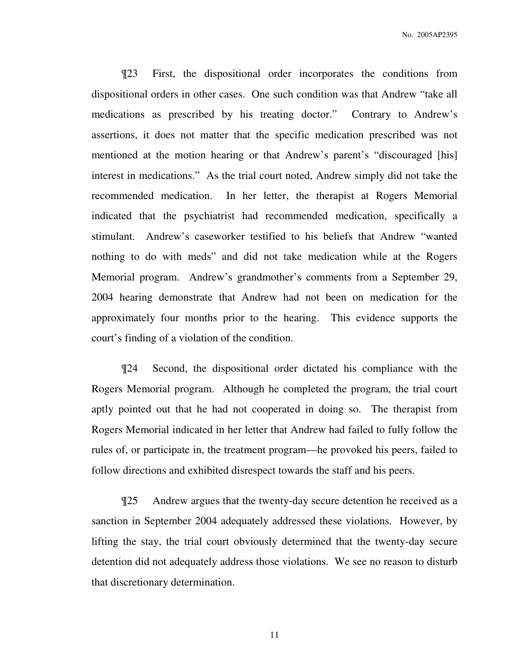¶23 First, the dispositional order incorporates the conditions from dispositional orders in other cases. One such condition was that Andrew "take all medications as prescribed by his treating doctor." Contrary to Andrew's assertions, it does not matter that the specific medication prescribed was not mentioned at the motion hearing or that Andrew's parent's "discouraged [his] interest in medications." As the trial court noted, Andrew simply did not take the recommended medication. In her letter, the therapist at Rogers Memorial indicated that the psychiatrist had recommended medication, specifically a stimulant. Andrew's caseworker testified to his beliefs that Andrew "wanted nothing to do with meds" and did not take medication while at the Rogers Memorial program. Andrew's grandmother's comments from a September 29, 2004 hearing demonstrate that Andrew had not been on medication for the approximately four months prior to the hearing. This evidence supports the court's finding of a violation of the condition.

¶24 Second, the dispositional order dictated his compliance with the Rogers Memorial program. Although he completed the program, the trial court aptly pointed out that he had not cooperated in doing so. The therapist from Rogers Memorial indicated in her letter that Andrew had failed to fully follow the rules of, or participate in, the treatment program—he provoked his peers, failed to follow directions and exhibited disrespect towards the staff and his peers.

¶25 Andrew argues that the twenty-day secure detention he received as a sanction in September 2004 adequately addressed these violations. However, by lifting the stay, the trial court obviously determined that the twenty-day secure detention did not adequately address those violations. We see no reason to disturb that discretionary determination.